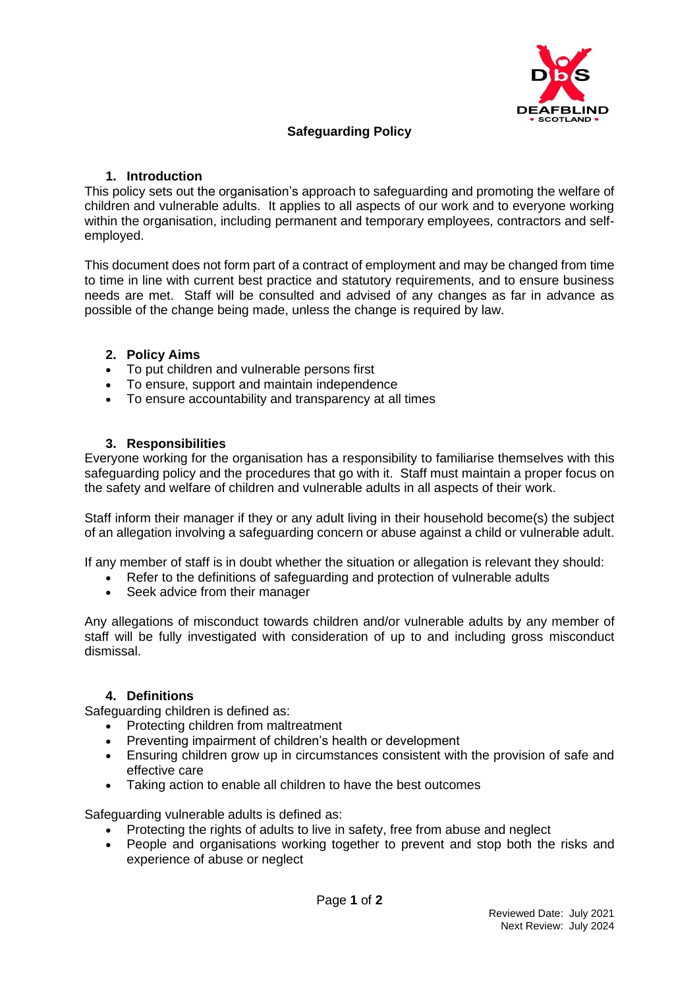

# **Safeguarding Policy**

#### **1. Introduction**

This policy sets out the organisation's approach to safeguarding and promoting the welfare of children and vulnerable adults. It applies to all aspects of our work and to everyone working within the organisation, including permanent and temporary employees, contractors and selfemployed.

This document does not form part of a contract of employment and may be changed from time to time in line with current best practice and statutory requirements, and to ensure business needs are met. Staff will be consulted and advised of any changes as far in advance as possible of the change being made, unless the change is required by law.

#### **2. Policy Aims**

- To put children and vulnerable persons first
- To ensure, support and maintain independence
- To ensure accountability and transparency at all times

#### **3. Responsibilities**

Everyone working for the organisation has a responsibility to familiarise themselves with this safeguarding policy and the procedures that go with it. Staff must maintain a proper focus on the safety and welfare of children and vulnerable adults in all aspects of their work.

Staff inform their manager if they or any adult living in their household become(s) the subject of an allegation involving a safeguarding concern or abuse against a child or vulnerable adult.

If any member of staff is in doubt whether the situation or allegation is relevant they should:

- Refer to the definitions of safeguarding and protection of vulnerable adults
- Seek advice from their manager

Any allegations of misconduct towards children and/or vulnerable adults by any member of staff will be fully investigated with consideration of up to and including gross misconduct dismissal.

#### **4. Definitions**

Safeguarding children is defined as:

- Protecting children from maltreatment
- Preventing impairment of children's health or development
- Ensuring children grow up in circumstances consistent with the provision of safe and effective care
- Taking action to enable all children to have the best outcomes

Safeguarding vulnerable adults is defined as:

- Protecting the rights of adults to live in safety, free from abuse and neglect
- People and organisations working together to prevent and stop both the risks and experience of abuse or neglect